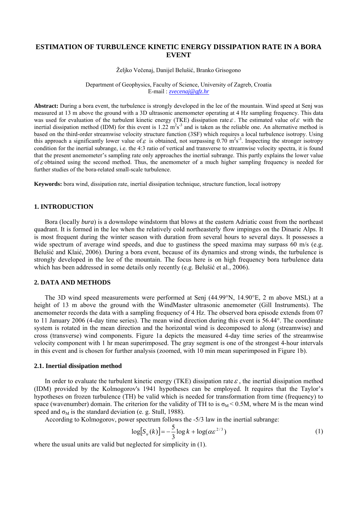# **ESTIMATION OF TURBULENCE KINETIC ENERGY DISSIPATION RATE IN A BORA EVENT**

Željko Večenaj, Danijel Belušić, Branko Grisogono

Department of Geophysics, Faculty of Science, University of Zagreb, Croatia E-mail : *[zvecenaj@gfz.hr](mailto:zvecenaj@gfz.hr)*

**Abstract:** During a bora event, the turbulence is strongly developed in the lee of the mountain. Wind speed at Senj was measured at 13 m above the ground with a 3D ultrasonic anemometer operating at 4 Hz sampling frequency. This data was used for evaluation of the turbulent kinetic energy (TKE) dissipation rate  $\varepsilon$ . The estimated value of  $\varepsilon$  with the inertial dissipation method (IDM) for this event is 1.22  $m^2s^{-3}$  and is taken as the reliable one. An alternative method is based on the third-order streamwise velocity structure function (3SF) which requires a local turbulence isotropy. Using this approach a significantly lower value of  $\varepsilon$  is obtained, not surpassing 0.70 m<sup>2</sup>s<sup>-3</sup>. Inspecting the stronger isotropy condition for the inertial subrange, i.e. the 4:3 ratio of vertical and transverse to streamwise velocity spectra, it is found that the present anemometer's sampling rate only approaches the inertial subrange. This partly explains the lower value of  $\varepsilon$  obtained using the second method. Thus, the anemometer of a much higher sampling frequency is needed for further studies of the bora-related small-scale turbulence.

**Keywords:** bora wind, dissipation rate, inertial dissipation technique, structure function, local isotropy

## **1. INTRODUCTION**

Bora (locally *bura*) is a downslope windstorm that blows at the eastern Adriatic coast from the northeast quadrant. It is formed in the lee when the relatively cold northeasterly flow impinges on the Dinaric Alps. It is most frequent during the winter season with duration from several hours to several days. It possesses a wide spectrum of average wind speeds, and due to gustiness the speed maxima may surpass 60 m/s (e.g. Belušić and Klaić, 2006). During a bora event, because of its dynamics and strong winds, the turbulence is strongly developed in the lee of the mountain. The focus here is on high frequency bora turbulence data which has been addressed in some details only recently (e.g. Belušić et al., 2006).

## **2. DATA AND METHODS**

The 3D wind speed measurements were performed at Senj (44.99°N, 14.90°E, 2 m above MSL) at a height of 13 m above the ground with the WindMaster ultrasonic anemometer (Gill Instruments). The anemometer records the data with a sampling frequency of 4 Hz. The observed bora episode extends from 07 to 11 January 2006 (4-day time series). The mean wind direction during this event is 56.44°. The coordinate system is rotated in the mean direction and the horizontal wind is decomposed to along (streamwise) and cross (transverse) wind components. Figure 1a depicts the measured 4-day time series of the streamwise velocity component with 1 hr mean superimposed. The gray segment is one of the strongest 4-hour intervals in this event and is chosen for further analysis (zoomed, with 10 min mean superimposed in Figure 1b).

#### **2.1. Inertial dissipation method**

In order to evaluate the turbulent kinetic energy (TKE) dissipation rate  $\varepsilon$ , the inertial dissipation method (IDM) provided by the Kolmogorov's 1941 hypotheses can be employed. It requires that the Taylor's hypotheses on frozen turbulence (TH) be valid which is needed for transformation from time (frequency) to space (wavenumber) domain. The criterion for the validity of TH to is  $\sigma_M$  < 0.5M, where M is the mean wind speed and  $\sigma_M$  is the standard deviation (e. g. Stull, 1988).

According to Kolmogorov, power spectrum follows the -5/3 law in the inertial subrange:

$$
\log[S_u(k)] = -\frac{5}{3}\log k + \log(\alpha \varepsilon^{2/3})
$$
\n(1)

where the usual units are valid but neglected for simplicity in (1).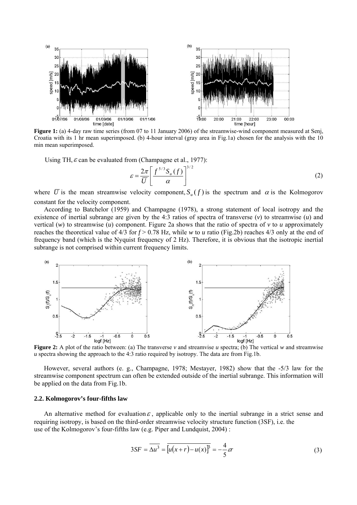

Croatia with its 1 hr mean superimposed. (b) 4-hour interval (gray area in Fig.1a) chosen for the analysis with the 10 min mean superimposed.

Using TH,  $\varepsilon$  can be evaluated from (Champagne et al., 1977):

$$
\varepsilon = \frac{2\pi}{\overline{U}} \left[ \frac{f^{5/3} S_u(f)}{\alpha} \right]^{3/2} \tag{2}
$$

where  $\overline{U}$  is the mean streamwise velocity component,  $S_u(f)$  is the spectrum and  $\alpha$  is the Kolmogorov constant for the velocity component.

 According to Batchelor (1959) and Champagne (1978), a strong statement of local isotropy and the existence of inertial subrange are given by the 4:3 ratios of spectra of transverse  $(v)$  to streamwise  $(u)$  and vertical  $(w)$  to streamwise  $(u)$  component. Figure 2a shows that the ratio of spectra of  $v$  to  $u$  approximately reaches the theoretical value of  $4/3$  for  $f > 0.78$  Hz, while *w* to *u* ratio (Fig.2b) reaches  $4/3$  only at the end of frequency band (which is the Nyquist frequency of 2 Hz). Therefore, it is obvious that the isotropic inertial subrange is not comprised within current frequency limits.



*u* spectra showing the approach to the 4:3 ratio required by isotropy. The data are from Fig.1b.

 However, several authors (e. g., Champagne, 1978; Mestayer, 1982) show that the -5/3 law for the streamwise component spectrum can often be extended outside of the inertial subrange. This information will be applied on the data from Fig.1b.

#### **2.2. Kolmogorov's four-fifths law**

An alternative method for evaluation  $\varepsilon$ , applicable only to the inertial subrange in a strict sense and requiring isotropy, is based on the third-order streamwise velocity structure function (3SF), i.e. the use of the Kolmogorov's four-fifths law (e.g. Piper and Lundquist, 2004) :

$$
3SF = \overline{\Delta u^3} = \overline{\left[u(x+r) - u(x)\right]^3} = -\frac{4}{5}\varepsilon r
$$
\n(3)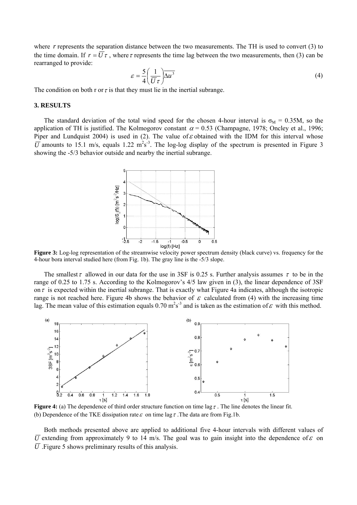where *r* represents the separation distance between the two measurements. The TH is used to convert (3) to the time domain. If  $r = U \tau$ , where  $\tau$  represents the time lag between the two measurements, then (3) can be rearranged to provide:

$$
\varepsilon = \frac{5}{4} \left( \frac{1}{\overline{U}\tau} \right) \overline{\Delta u^3} \tag{4}
$$

The condition on both r or  $\tau$  is that they must lie in the inertial subrange.

#### **3. RESULTS**

The standard deviation of the total wind speed for the chosen 4-hour interval is  $\sigma_M = 0.35M$ , so the application of TH is justified. The Kolmogorov constant  $\alpha$  = 0.53 (Champagne, 1978; Oncley et al., 1996; Piper and Lundquist 2004) is used in (2). The value of  $\varepsilon$  obtained with the IDM for this interval whose  $\overline{U}$  amounts to 15.1 m/s, equals 1.22 m<sup>2</sup>s<sup>-3</sup>. The log-log display of the spectrum is presented in Figure 3 showing the -5/3 behavior outside and nearby the inertial subrange.



**Figure 3:** Log-log representation of the streamwise velocity power spectrum density (black curve) vs. frequency for the 4-hour bora interval studied here (from Fig. 1b). The gray line is the -5/3 slope.

The smallest  $\tau$  allowed in our data for the use in 3SF is 0.25 s. Further analysis assumes  $\tau$  to be in the range of 0.25 to 1.75 s. According to the Kolmogorov's 4/5 law given in (3), the linear dependence of 3SF on  $\tau$  is expected within the inertial subrange. That is exactly what Figure 4a indicates, although the isotropic range is not reached here. Figure 4b shows the behavior of  $\varepsilon$  calculated from (4) with the increasing time lag. The mean value of this estimation equals  $0.70 \text{ m}^2\text{s}^3$  and is taken as the estimation of  $\varepsilon$  with this method.



**Figure 4:** (a) The dependence of third order structure function on time lag  $\tau$ . The line denotes the linear fit. (b) Dependence of the TKE dissipation rate  $\varepsilon$  on time lag  $\tau$ . The data are from Fig.1b.

Both methods presented above are applied to additional five 4-hour intervals with different values of  $\overline{U}$  extending from approximately 9 to 14 m/s. The goal was to gain insight into the dependence of  $\varepsilon$  on  $\overline{U}$ . Figure 5 shows preliminary results of this analysis.